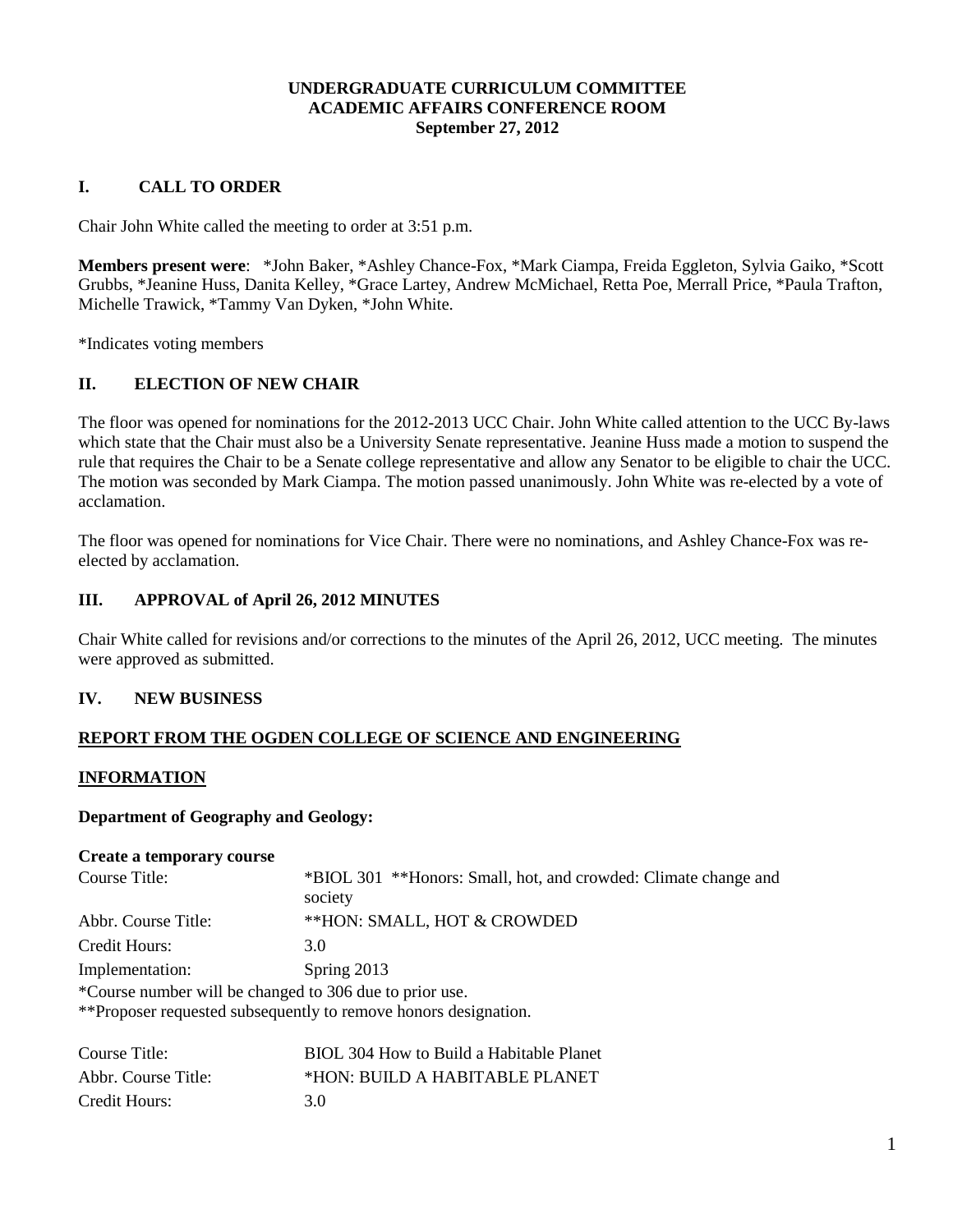### **UNDERGRADUATE CURRICULUM COMMITTEE ACADEMIC AFFAIRS CONFERENCE ROOM September 27, 2012**

## **I. CALL TO ORDER**

Chair John White called the meeting to order at 3:51 p.m.

**Members present were**: \*John Baker, \*Ashley Chance-Fox, \*Mark Ciampa, Freida Eggleton, Sylvia Gaiko, \*Scott Grubbs, \*Jeanine Huss, Danita Kelley, \*Grace Lartey, Andrew McMichael, Retta Poe, Merrall Price, \*Paula Trafton, Michelle Trawick, \*Tammy Van Dyken, \*John White.

\*Indicates voting members

## **II. ELECTION OF NEW CHAIR**

The floor was opened for nominations for the 2012-2013 UCC Chair. John White called attention to the UCC By-laws which state that the Chair must also be a University Senate representative. Jeanine Huss made a motion to suspend the rule that requires the Chair to be a Senate college representative and allow any Senator to be eligible to chair the UCC. The motion was seconded by Mark Ciampa. The motion passed unanimously. John White was re-elected by a vote of acclamation.

The floor was opened for nominations for Vice Chair. There were no nominations, and Ashley Chance-Fox was reelected by acclamation.

### **III. APPROVAL of April 26, 2012 MINUTES**

Chair White called for revisions and/or corrections to the minutes of the April 26, 2012, UCC meeting. The minutes were approved as submitted.

#### **IV. NEW BUSINESS**

## **REPORT FROM THE OGDEN COLLEGE OF SCIENCE AND ENGINEERING**

#### **INFORMATION**

#### **Department of Geography and Geology:**

|  | <b>Create a temporary course</b> |  |
|--|----------------------------------|--|
|--|----------------------------------|--|

| Course Title:       | *BIOL 301 **Honors: Small, hot, and crowded: Climate change and<br>society |
|---------------------|----------------------------------------------------------------------------|
| Abbr. Course Title: | **HON: SMALL, HOT & CROWDED                                                |
| Credit Hours:       | 3.0                                                                        |
| Implementation:     | Spring 2013                                                                |
|                     | *Course number will be changed to 306 due to prior use.                    |
|                     | **Proposer requested subsequently to remove honors designation.            |
|                     |                                                                            |

| Course Title:       | BIOL 304 How to Build a Habitable Planet |
|---------------------|------------------------------------------|
| Abbr. Course Title: | *HON: BUILD A HABITABLE PLANET           |
| Credit Hours:       | 3 Q                                      |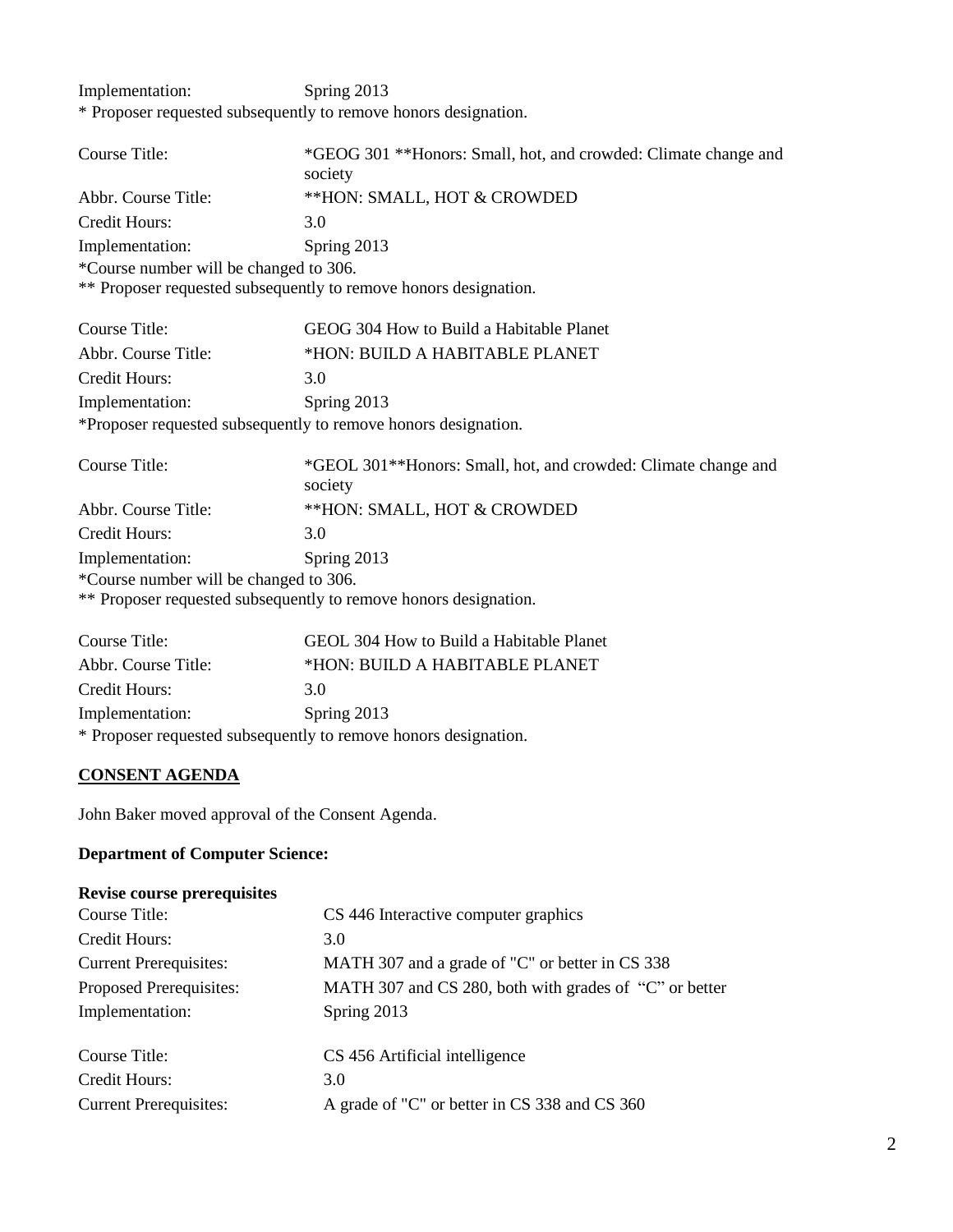Implementation: Spring 2013 \* Proposer requested subsequently to remove honors designation.

| Course Title:                          | *GEOG 301 **Honors: Small, hot, and crowded: Climate change and           |
|----------------------------------------|---------------------------------------------------------------------------|
|                                        | society                                                                   |
| Abbr. Course Title:                    | **HON: SMALL, HOT & CROWDED                                               |
| Credit Hours:                          | 3.0                                                                       |
| Implementation:                        | Spring 2013                                                               |
| *Course number will be changed to 306. |                                                                           |
|                                        | ** Proposer requested subsequently to remove honors designation.          |
| <b>Course Title:</b>                   | GEOG 304 How to Build a Habitable Planet                                  |
| Abbr. Course Title:                    | *HON: BUILD A HABITABLE PLANET                                            |
| Credit Hours:                          | 3.0                                                                       |
| Implementation:                        | Spring 2013                                                               |
|                                        | *Proposer requested subsequently to remove honors designation.            |
| Course Title:                          | *GEOL 301**Honors: Small, hot, and crowded: Climate change and<br>society |
| Abbr. Course Title:                    | **HON: SMALL, HOT & CROWDED                                               |
| <b>Credit Hours:</b>                   | 3.0                                                                       |
| Implementation:                        | Spring 2013                                                               |
| *Course number will be changed to 306. |                                                                           |
|                                        | ** Proposer requested subsequently to remove honors designation.          |
| <b>Course Title:</b>                   | GEOL 304 How to Build a Habitable Planet                                  |
| Abbr. Course Title:                    | *HON: BUILD A HABITABLE PLANET                                            |
| Credit Hours:                          | 3.0                                                                       |
| Implementation:                        | Spring 2013                                                               |

\* Proposer requested subsequently to remove honors designation.

# **CONSENT AGENDA**

John Baker moved approval of the Consent Agenda.

## **Department of Computer Science:**

| <b>Revise course prerequisites</b> |                                                        |
|------------------------------------|--------------------------------------------------------|
| Course Title:                      | CS 446 Interactive computer graphics                   |
| Credit Hours:                      | 3.0                                                    |
| <b>Current Prerequisites:</b>      | MATH 307 and a grade of "C" or better in CS 338        |
| Proposed Prerequisites:            | MATH 307 and CS 280, both with grades of "C" or better |
| Implementation:                    | Spring 2013                                            |
| Course Title:                      | CS 456 Artificial intelligence                         |
| Credit Hours:                      | 3.0                                                    |
| <b>Current Prerequisites:</b>      | A grade of "C" or better in CS 338 and CS 360          |
|                                    |                                                        |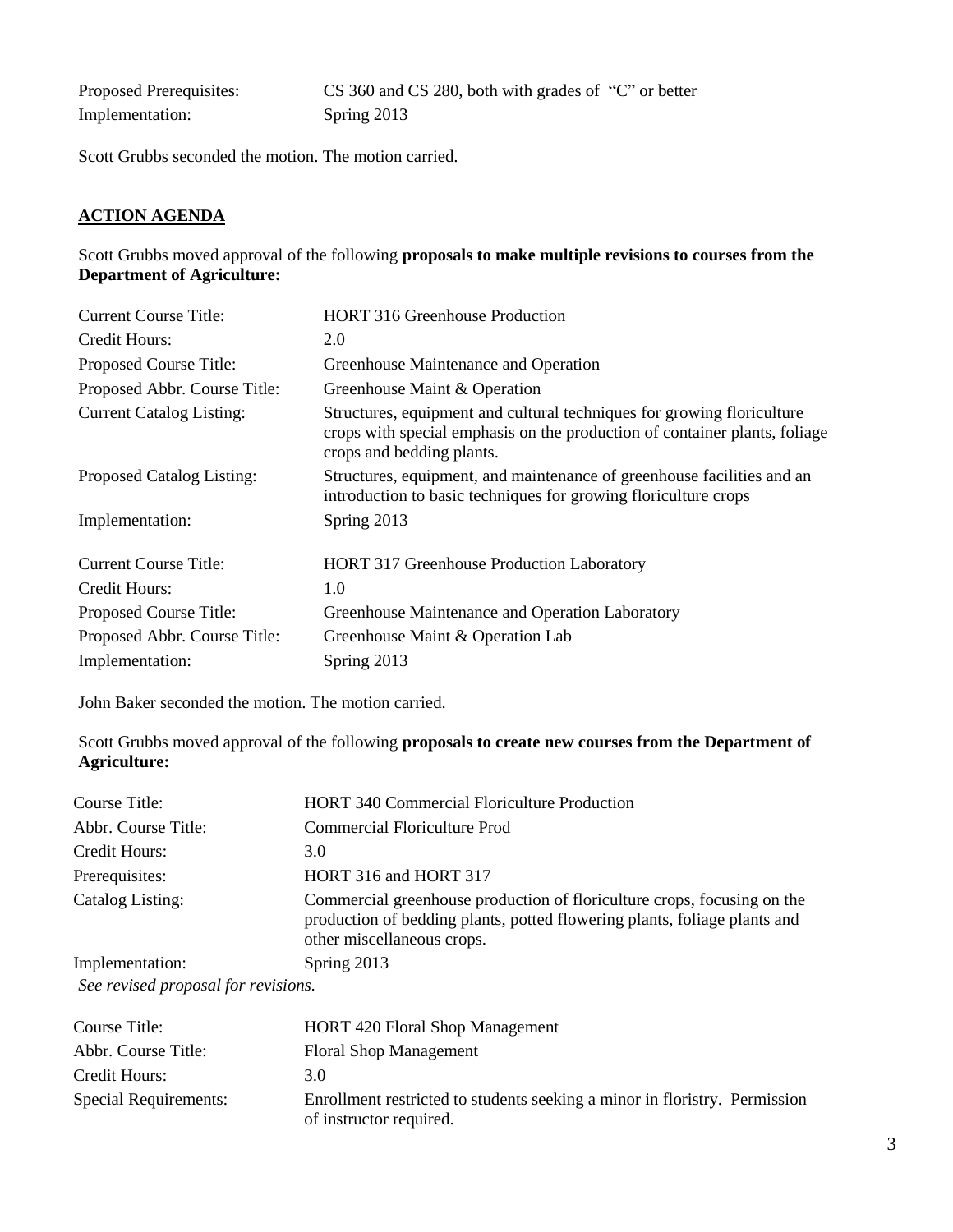| Proposed Prerequisites: | CS 360 and CS 280, both with grades of "C" or better |
|-------------------------|------------------------------------------------------|
| Implementation:         | Spring 2013                                          |

Scott Grubbs seconded the motion. The motion carried.

## **ACTION AGENDA**

### Scott Grubbs moved approval of the following **proposals to make multiple revisions to courses from the Department of Agriculture:**

| <b>Current Course Title:</b>    | <b>HORT</b> 316 Greenhouse Production                                                                                                                                             |
|---------------------------------|-----------------------------------------------------------------------------------------------------------------------------------------------------------------------------------|
| Credit Hours:                   | 2.0                                                                                                                                                                               |
| Proposed Course Title:          | Greenhouse Maintenance and Operation                                                                                                                                              |
| Proposed Abbr. Course Title:    | Greenhouse Maint & Operation                                                                                                                                                      |
| <b>Current Catalog Listing:</b> | Structures, equipment and cultural techniques for growing floriculture<br>crops with special emphasis on the production of container plants, foliage<br>crops and bedding plants. |
| Proposed Catalog Listing:       | Structures, equipment, and maintenance of greenhouse facilities and an<br>introduction to basic techniques for growing floriculture crops                                         |
| Implementation:                 | Spring 2013                                                                                                                                                                       |
| <b>Current Course Title:</b>    | <b>HORT 317 Greenhouse Production Laboratory</b>                                                                                                                                  |
| Credit Hours:                   | 1.0                                                                                                                                                                               |
| Proposed Course Title:          | Greenhouse Maintenance and Operation Laboratory                                                                                                                                   |
| Proposed Abbr. Course Title:    | Greenhouse Maint & Operation Lab                                                                                                                                                  |
| Implementation:                 | Spring 2013                                                                                                                                                                       |

John Baker seconded the motion. The motion carried.

Scott Grubbs moved approval of the following **proposals to create new courses from the Department of Agriculture:**

| Course Title:                                                 | <b>HORT 340 Commercial Floriculture Production</b>                                                                                                                                 |
|---------------------------------------------------------------|------------------------------------------------------------------------------------------------------------------------------------------------------------------------------------|
| Abbr. Course Title:                                           | <b>Commercial Floriculture Prod</b>                                                                                                                                                |
| Credit Hours:                                                 | 3.0                                                                                                                                                                                |
| Prerequisites:                                                | HORT 316 and HORT 317                                                                                                                                                              |
| Catalog Listing:                                              | Commercial greenhouse production of floriculture crops, focusing on the<br>production of bedding plants, potted flowering plants, foliage plants and<br>other miscellaneous crops. |
| Implementation:                                               | Spring 2013                                                                                                                                                                        |
| $\begin{array}{ccc} \sim & \cdot & \cdot & \cdot \end{array}$ |                                                                                                                                                                                    |

*See revised proposal for revisions.*

| Course Title:         | <b>HORT 420 Floral Shop Management</b>                                                                |
|-----------------------|-------------------------------------------------------------------------------------------------------|
| Abbr. Course Title:   | <b>Floral Shop Management</b>                                                                         |
| Credit Hours:         | 3.0                                                                                                   |
| Special Requirements: | Enrollment restricted to students seeking a minor in floristry. Permission<br>of instructor required. |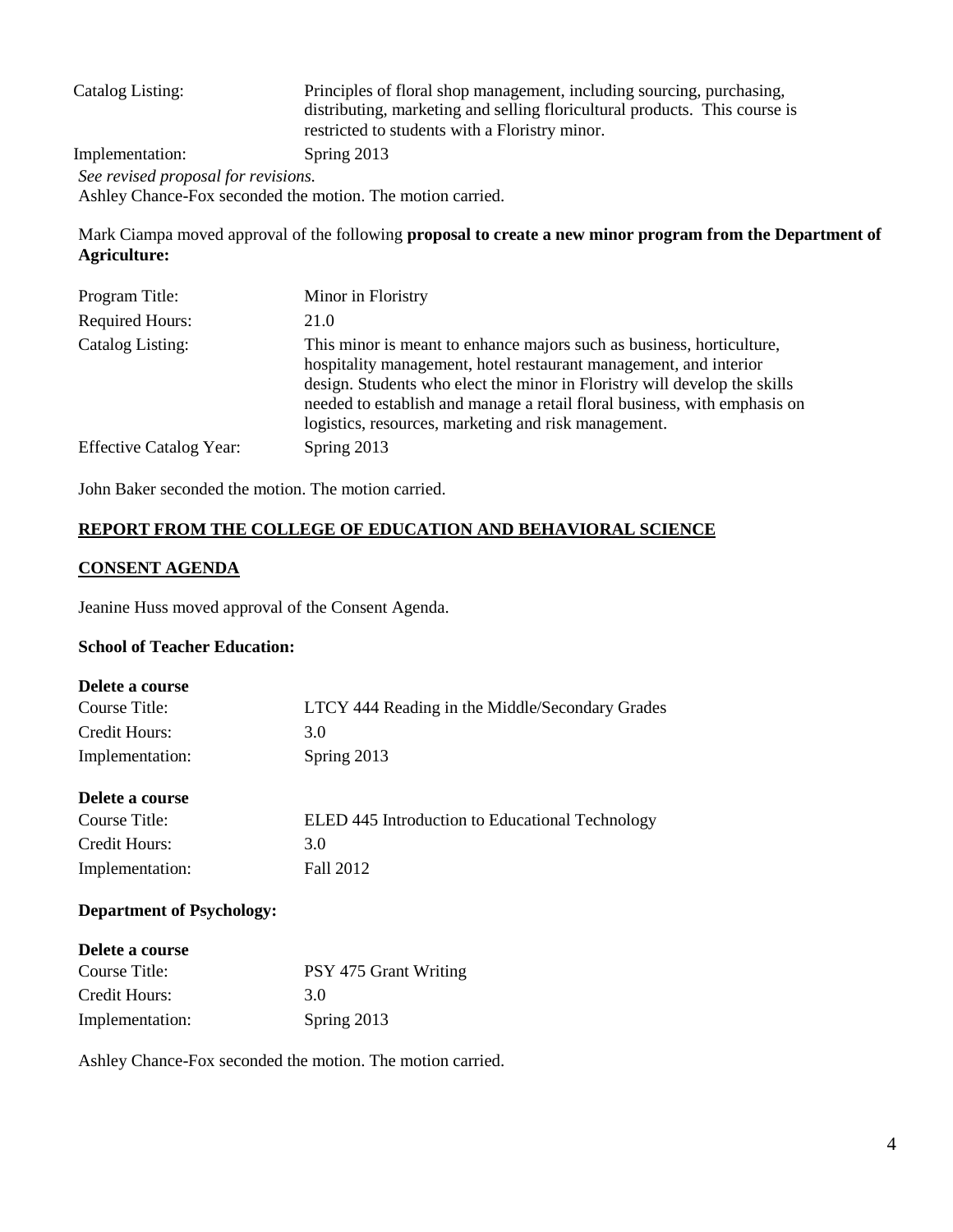| Catalog Listing:                                           | Principles of floral shop management, including sourcing, purchasing,<br>distributing, marketing and selling floricultural products. This course is<br>restricted to students with a Floristry minor. |
|------------------------------------------------------------|-------------------------------------------------------------------------------------------------------------------------------------------------------------------------------------------------------|
| Implementation:                                            | Spring 2013                                                                                                                                                                                           |
| See revised proposal for revisions.                        |                                                                                                                                                                                                       |
| Ashley Chance-Fox seconded the motion. The motion carried. |                                                                                                                                                                                                       |

Mark Ciampa moved approval of the following **proposal to create a new minor program from the Department of Agriculture:**

| Program Title:                 | Minor in Floristry                                                                                                                                                                                                                                                                                                                                           |
|--------------------------------|--------------------------------------------------------------------------------------------------------------------------------------------------------------------------------------------------------------------------------------------------------------------------------------------------------------------------------------------------------------|
| <b>Required Hours:</b>         | 21.0                                                                                                                                                                                                                                                                                                                                                         |
| Catalog Listing:               | This minor is meant to enhance majors such as business, horticulture,<br>hospitality management, hotel restaurant management, and interior<br>design. Students who elect the minor in Floristry will develop the skills<br>needed to establish and manage a retail floral business, with emphasis on<br>logistics, resources, marketing and risk management. |
| <b>Effective Catalog Year:</b> | Spring 2013                                                                                                                                                                                                                                                                                                                                                  |

John Baker seconded the motion. The motion carried.

## **REPORT FROM THE COLLEGE OF EDUCATION AND BEHAVIORAL SCIENCE**

### **CONSENT AGENDA**

Jeanine Huss moved approval of the Consent Agenda.

### **School of Teacher Education:**

| LTCY 444 Reading in the Middle/Secondary Grades |
|-------------------------------------------------|
| 3.0                                             |
| Spring 2013                                     |
|                                                 |
| ELED 445 Introduction to Educational Technology |
| 3.0                                             |
| Fall 2012                                       |
|                                                 |

## **Department of Psychology:**

| Delete a course |                       |
|-----------------|-----------------------|
| Course Title:   | PSY 475 Grant Writing |
| Credit Hours:   | 3 O                   |
| Implementation: | Spring 2013           |

Ashley Chance-Fox seconded the motion. The motion carried.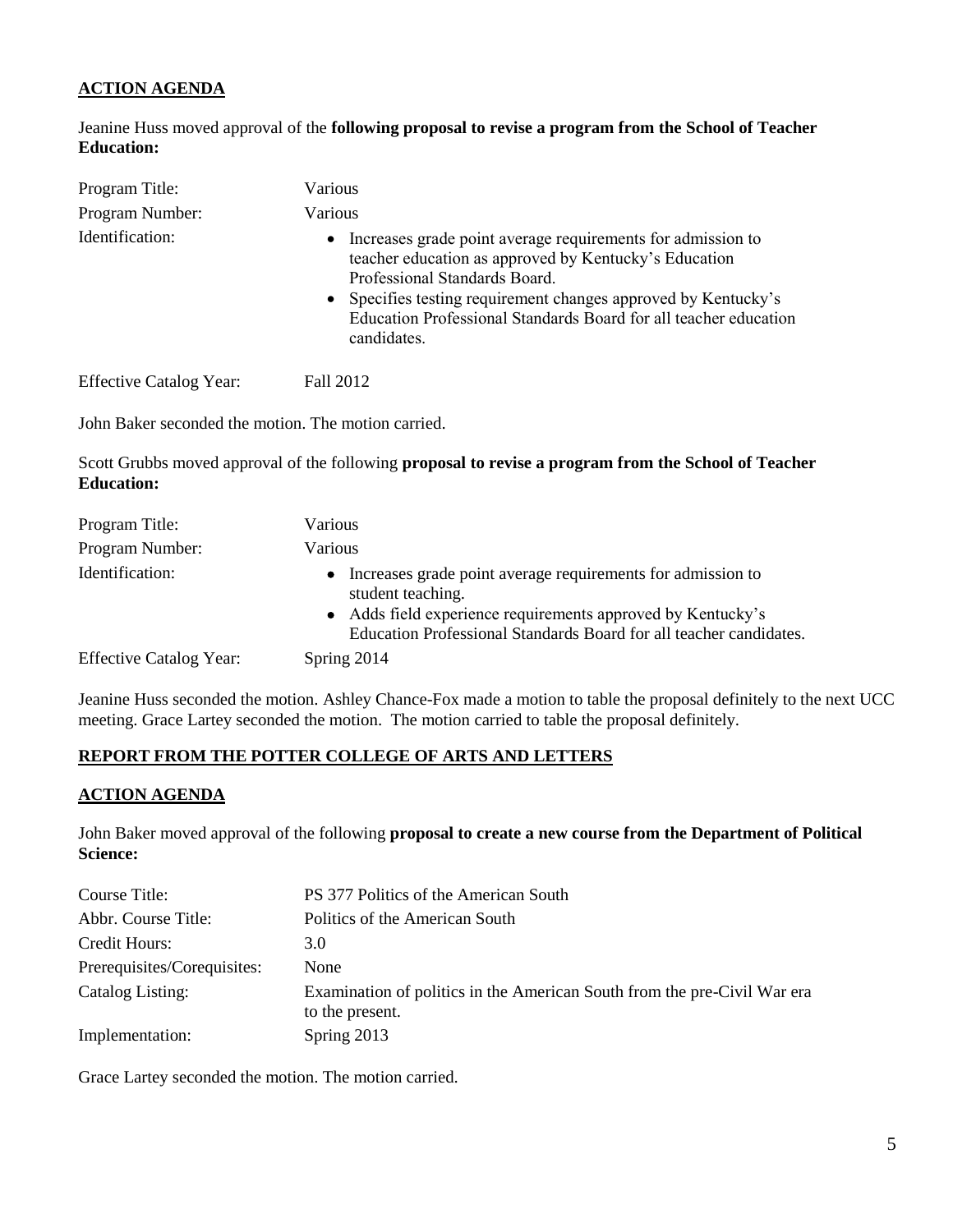## **ACTION AGENDA**

Jeanine Huss moved approval of the **following proposal to revise a program from the School of Teacher Education:**

| Program Title:                 | Various                                                                                                                                                                                                                                                                                                                 |
|--------------------------------|-------------------------------------------------------------------------------------------------------------------------------------------------------------------------------------------------------------------------------------------------------------------------------------------------------------------------|
| Program Number:                | <b>Various</b>                                                                                                                                                                                                                                                                                                          |
| Identification:                | Increases grade point average requirements for admission to<br>$\bullet$<br>teacher education as approved by Kentucky's Education<br>Professional Standards Board.<br>• Specifies testing requirement changes approved by Kentucky's<br>Education Professional Standards Board for all teacher education<br>candidates. |
| <b>Effective Catalog Year:</b> | Fall 2012                                                                                                                                                                                                                                                                                                               |

John Baker seconded the motion. The motion carried.

Scott Grubbs moved approval of the following **proposal to revise a program from the School of Teacher Education:**

| Program Title:                 | Various                                                                                                                                                                                                                 |
|--------------------------------|-------------------------------------------------------------------------------------------------------------------------------------------------------------------------------------------------------------------------|
| Program Number:                | Various                                                                                                                                                                                                                 |
| Identification:                | • Increases grade point average requirements for admission to<br>student teaching.<br>• Adds field experience requirements approved by Kentucky's<br>Education Professional Standards Board for all teacher candidates. |
| <b>Effective Catalog Year:</b> | Spring 2014                                                                                                                                                                                                             |

Jeanine Huss seconded the motion. Ashley Chance-Fox made a motion to table the proposal definitely to the next UCC meeting. Grace Lartey seconded the motion. The motion carried to table the proposal definitely.

## **REPORT FROM THE POTTER COLLEGE OF ARTS AND LETTERS**

#### **ACTION AGENDA**

John Baker moved approval of the following **proposal to create a new course from the Department of Political Science:**

| Course Title:               | PS 377 Politics of the American South                                                       |
|-----------------------------|---------------------------------------------------------------------------------------------|
| Abbr. Course Title:         | Politics of the American South                                                              |
| Credit Hours:               | 3.0                                                                                         |
| Prerequisites/Corequisites: | None                                                                                        |
| Catalog Listing:            | Examination of politics in the American South from the pre-Civil War era<br>to the present. |
| Implementation:             | Spring 2013                                                                                 |

Grace Lartey seconded the motion. The motion carried.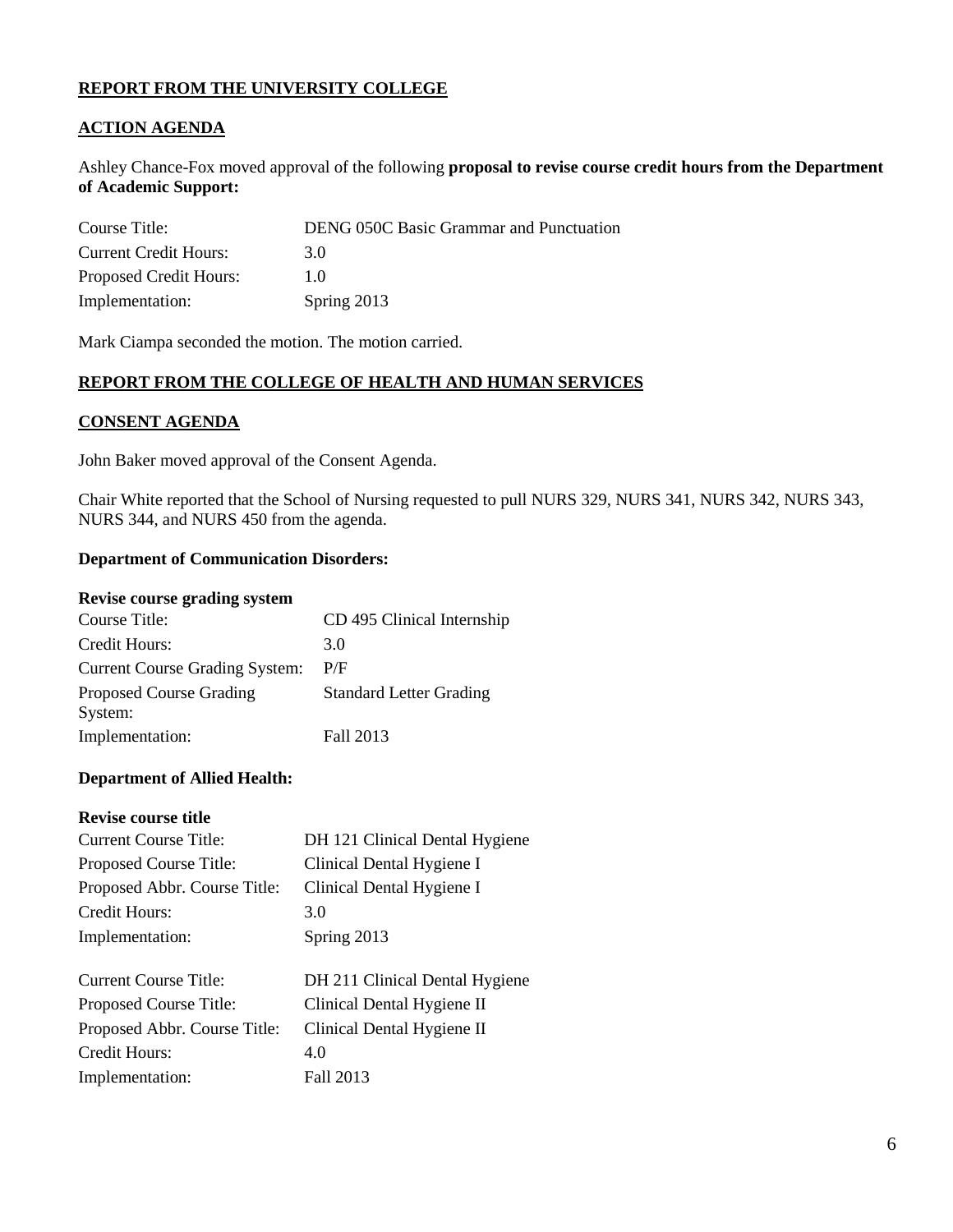## **REPORT FROM THE UNIVERSITY COLLEGE**

## **ACTION AGENDA**

Ashley Chance-Fox moved approval of the following **proposal to revise course credit hours from the Department of Academic Support:**

| Course Title:                | <b>DENG 050C Basic Grammar and Punctuation</b> |
|------------------------------|------------------------------------------------|
| <b>Current Credit Hours:</b> | 3 O                                            |
| Proposed Credit Hours:       | 10                                             |
| Implementation:              | Spring 2013                                    |

Mark Ciampa seconded the motion. The motion carried.

### **REPORT FROM THE COLLEGE OF HEALTH AND HUMAN SERVICES**

#### **CONSENT AGENDA**

John Baker moved approval of the Consent Agenda.

Chair White reported that the School of Nursing requested to pull NURS 329, NURS 341, NURS 342, NURS 343, NURS 344, and NURS 450 from the agenda.

#### **Department of Communication Disorders:**

#### **Revise course grading system**

| Course Title:                             | CD 495 Clinical Internship     |
|-------------------------------------------|--------------------------------|
| Credit Hours:                             | 3.0                            |
| <b>Current Course Grading System:</b>     | P/F                            |
| <b>Proposed Course Grading</b><br>System: | <b>Standard Letter Grading</b> |
| Implementation:                           | Fall 2013                      |

#### **Department of Allied Health:**

#### **Revise course title**

| <b>Current Course Title:</b> | DH 121 Clinical Dental Hygiene |
|------------------------------|--------------------------------|
| Proposed Course Title:       | Clinical Dental Hygiene I      |
| Proposed Abbr. Course Title: | Clinical Dental Hygiene I      |
| Credit Hours:                | 3.0                            |
| Implementation:              | Spring 2013                    |
|                              |                                |
| Current Course Title:        | DH 211 Clinical Dental Hygiene |
| Proposed Course Title:       | Clinical Dental Hygiene II     |
| Proposed Abbr. Course Title: | Clinical Dental Hygiene II     |
| Credit Hours:                | 4.0                            |
| Implementation:              | Fall 2013                      |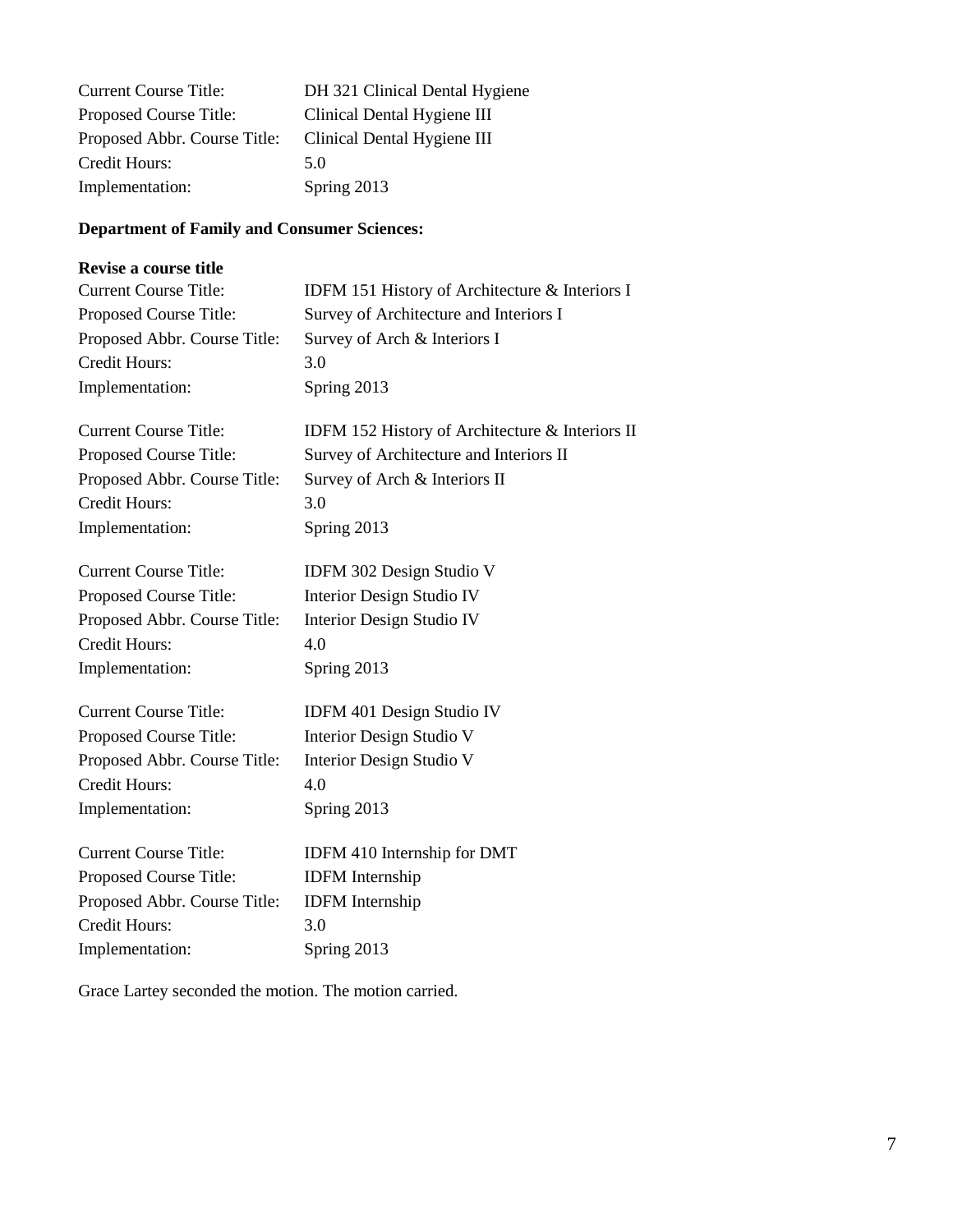| <b>Current Course Title:</b> | DH 321 Clinical Dental Hygiene |
|------------------------------|--------------------------------|
| Proposed Course Title:       | Clinical Dental Hygiene III    |
| Proposed Abbr. Course Title: | Clinical Dental Hygiene III    |
| Credit Hours:                | 5.0                            |
| Implementation:              | Spring 2013                    |

# **Department of Family and Consumer Sciences:**

## **Revise a course title**

| <b>Current Course Title:</b> | IDFM 151 History of Architecture & Interiors I  |
|------------------------------|-------------------------------------------------|
| Proposed Course Title:       | Survey of Architecture and Interiors I          |
| Proposed Abbr. Course Title: | Survey of Arch & Interiors I                    |
| Credit Hours:                | 3.0                                             |
| Implementation:              | Spring 2013                                     |
| <b>Current Course Title:</b> |                                                 |
|                              | IDFM 152 History of Architecture & Interiors II |
| Proposed Course Title:       | Survey of Architecture and Interiors II         |
| Proposed Abbr. Course Title: | Survey of Arch & Interiors II                   |
| <b>Credit Hours:</b>         | 3.0                                             |
| Implementation:              | Spring 2013                                     |
| <b>Current Course Title:</b> | <b>IDFM 302 Design Studio V</b>                 |
| Proposed Course Title:       | Interior Design Studio IV                       |
| Proposed Abbr. Course Title: | Interior Design Studio IV                       |
| <b>Credit Hours:</b>         | 4.0                                             |
| Implementation:              | Spring 2013                                     |
| <b>Current Course Title:</b> | IDFM 401 Design Studio IV                       |
| Proposed Course Title:       | Interior Design Studio V                        |
| Proposed Abbr. Course Title: | Interior Design Studio V                        |
| <b>Credit Hours:</b>         | 4.0                                             |
| Implementation:              | Spring 2013                                     |
| <b>Current Course Title:</b> | IDFM 410 Internship for DMT                     |
| Proposed Course Title:       | <b>IDFM</b> Internship                          |
| Proposed Abbr. Course Title: | <b>IDFM</b> Internship                          |
| Credit Hours:                | 3.0                                             |
| Implementation:              | Spring 2013                                     |
|                              |                                                 |

Grace Lartey seconded the motion. The motion carried.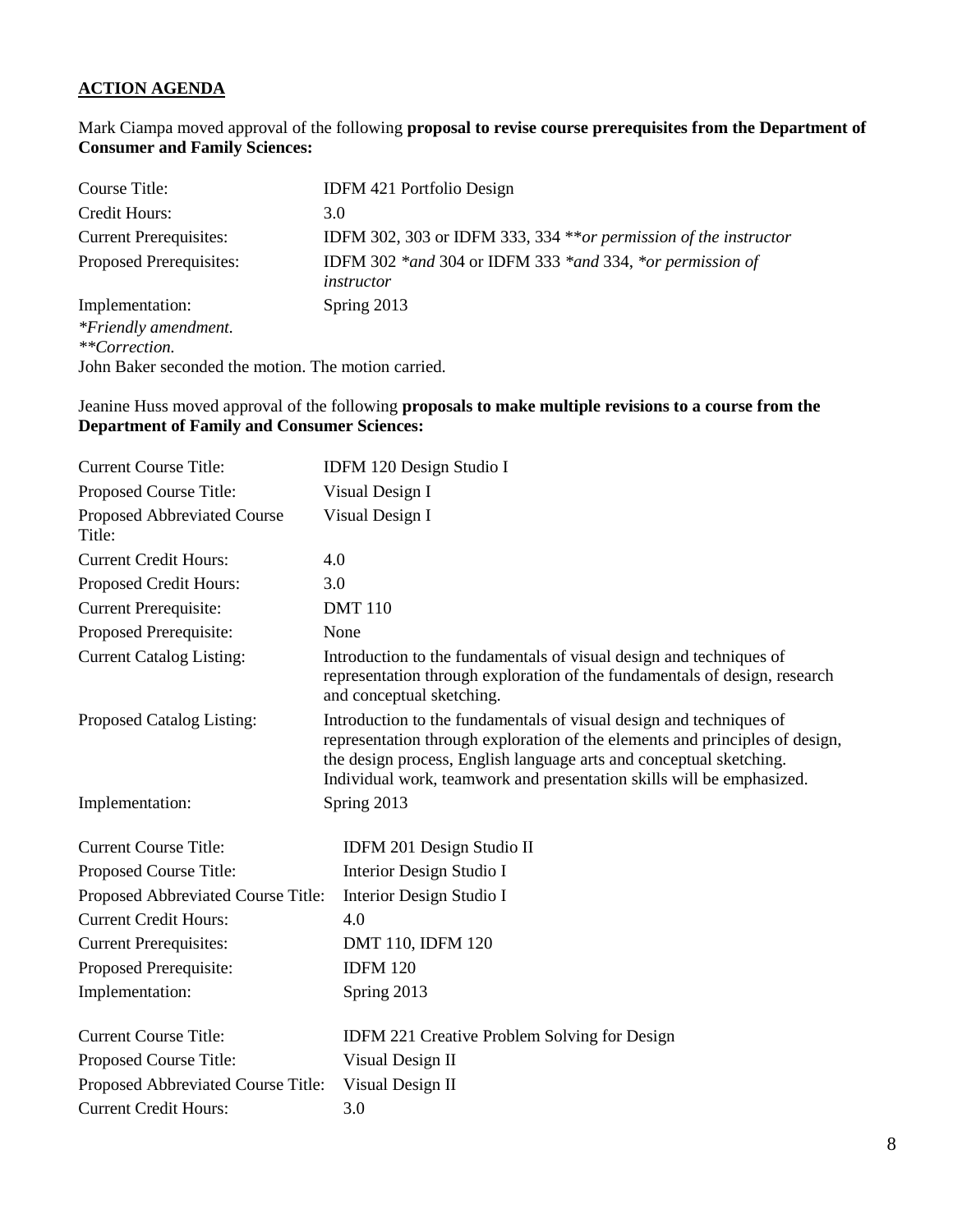# **ACTION AGENDA**

Mark Ciampa moved approval of the following **proposal to revise course prerequisites from the Department of Consumer and Family Sciences:**

| Course Title:                                       | <b>IDFM 421 Portfolio Design</b>                                                 |
|-----------------------------------------------------|----------------------------------------------------------------------------------|
| Credit Hours:                                       | 3.0                                                                              |
| <b>Current Prerequisites:</b>                       | IDFM 302, 303 or IDFM 333, 334 ** or permission of the instructor                |
| Proposed Prerequisites:                             | IDFM 302 $*$ and 304 or IDFM 333 $*$ and 334, $*$ or permission of<br>instructor |
| Implementation:                                     | Spring 2013                                                                      |
| *Friendly amendment.                                |                                                                                  |
| **Correction.                                       |                                                                                  |
| John Baker seconded the motion. The motion carried. |                                                                                  |

Jeanine Huss moved approval of the following **proposals to make multiple revisions to a course from the Department of Family and Consumer Sciences:**

| <b>Current Course Title:</b>          | IDFM 120 Design Studio I                                                                                                                                                                                                                                                                            |
|---------------------------------------|-----------------------------------------------------------------------------------------------------------------------------------------------------------------------------------------------------------------------------------------------------------------------------------------------------|
| Proposed Course Title:                | Visual Design I                                                                                                                                                                                                                                                                                     |
| Proposed Abbreviated Course<br>Title: | Visual Design I                                                                                                                                                                                                                                                                                     |
| <b>Current Credit Hours:</b>          | 4.0                                                                                                                                                                                                                                                                                                 |
| Proposed Credit Hours:                | 3.0                                                                                                                                                                                                                                                                                                 |
| <b>Current Prerequisite:</b>          | <b>DMT</b> 110                                                                                                                                                                                                                                                                                      |
| Proposed Prerequisite:                | None                                                                                                                                                                                                                                                                                                |
| <b>Current Catalog Listing:</b>       | Introduction to the fundamentals of visual design and techniques of<br>representation through exploration of the fundamentals of design, research<br>and conceptual sketching.                                                                                                                      |
| Proposed Catalog Listing:             | Introduction to the fundamentals of visual design and techniques of<br>representation through exploration of the elements and principles of design,<br>the design process, English language arts and conceptual sketching.<br>Individual work, teamwork and presentation skills will be emphasized. |
| Implementation:                       | Spring 2013                                                                                                                                                                                                                                                                                         |
| <b>Current Course Title:</b>          | IDFM 201 Design Studio II                                                                                                                                                                                                                                                                           |
| Proposed Course Title:                | Interior Design Studio I                                                                                                                                                                                                                                                                            |
| Proposed Abbreviated Course Title:    | Interior Design Studio I                                                                                                                                                                                                                                                                            |
| <b>Current Credit Hours:</b>          | 4.0                                                                                                                                                                                                                                                                                                 |
| <b>Current Prerequisites:</b>         | DMT 110, IDFM 120                                                                                                                                                                                                                                                                                   |
| Proposed Prerequisite:                | <b>IDFM 120</b>                                                                                                                                                                                                                                                                                     |
| Implementation:                       | Spring 2013                                                                                                                                                                                                                                                                                         |
| <b>Current Course Title:</b>          | <b>IDFM 221 Creative Problem Solving for Design</b>                                                                                                                                                                                                                                                 |
| Proposed Course Title:                | Visual Design II                                                                                                                                                                                                                                                                                    |
| Proposed Abbreviated Course Title:    | Visual Design II                                                                                                                                                                                                                                                                                    |
| <b>Current Credit Hours:</b>          | 3.0                                                                                                                                                                                                                                                                                                 |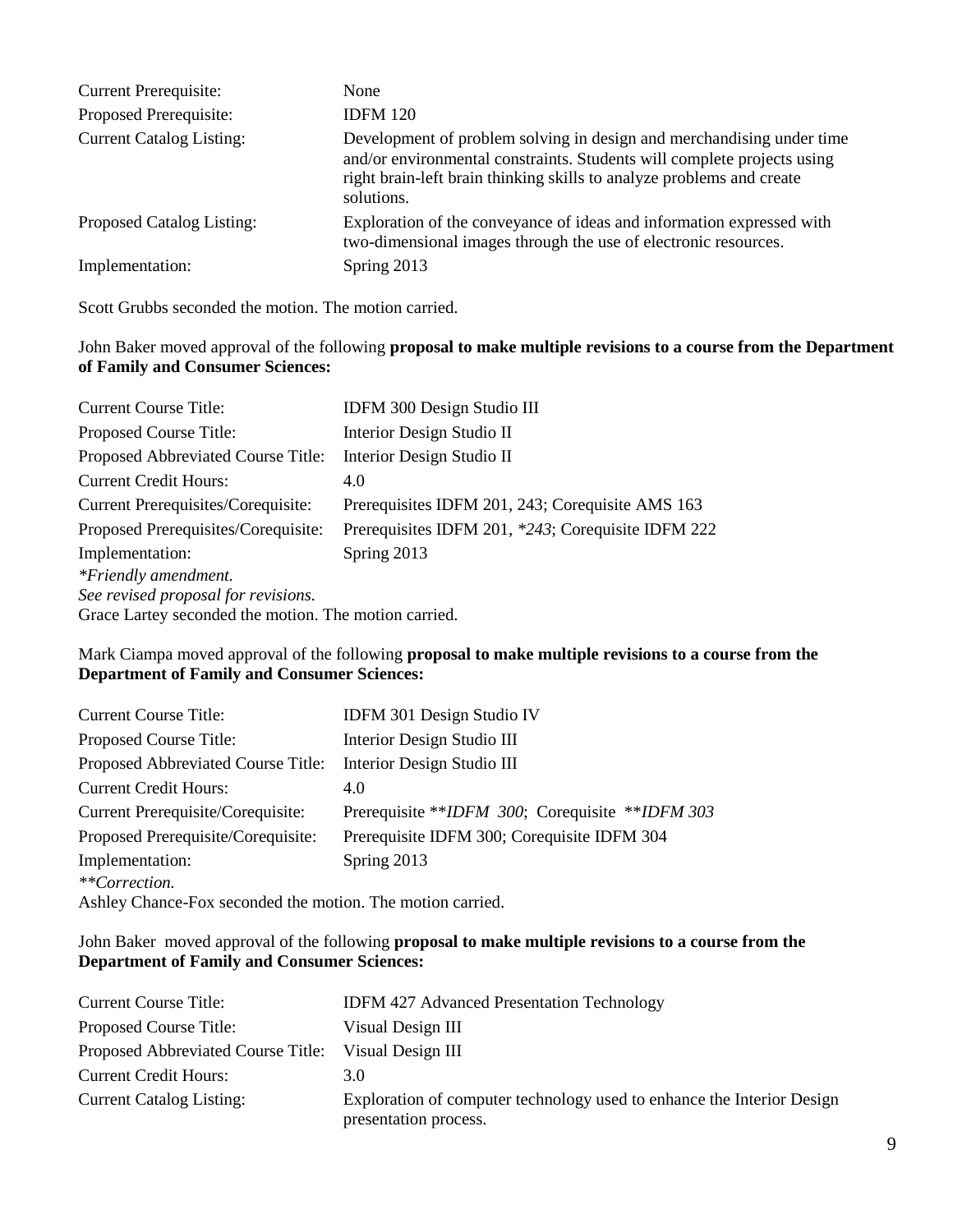| <b>Current Prerequisite:</b>    | None                                                                                                                                                                                                                                    |
|---------------------------------|-----------------------------------------------------------------------------------------------------------------------------------------------------------------------------------------------------------------------------------------|
| Proposed Prerequisite:          | <b>IDFM 120</b>                                                                                                                                                                                                                         |
| <b>Current Catalog Listing:</b> | Development of problem solving in design and merchandising under time<br>and/or environmental constraints. Students will complete projects using<br>right brain-left brain thinking skills to analyze problems and create<br>solutions. |
| Proposed Catalog Listing:       | Exploration of the conveyance of ideas and information expressed with<br>two-dimensional images through the use of electronic resources.                                                                                                |
| Implementation:                 | Spring 2013                                                                                                                                                                                                                             |

Scott Grubbs seconded the motion. The motion carried.

### John Baker moved approval of the following **proposal to make multiple revisions to a course from the Department of Family and Consumer Sciences:**

| <b>Current Course Title:</b>                          | IDFM 300 Design Studio III                         |
|-------------------------------------------------------|----------------------------------------------------|
| Proposed Course Title:                                | Interior Design Studio II                          |
| Proposed Abbreviated Course Title:                    | Interior Design Studio II                          |
| <b>Current Credit Hours:</b>                          | 4.0                                                |
| Current Prerequisites/Corequisite:                    | Prerequisites IDFM 201, 243; Corequisite AMS 163   |
| Proposed Prerequisites/Corequisite:                   | Prerequisites IDFM 201, *243; Corequisite IDFM 222 |
| Implementation:                                       | Spring 2013                                        |
| *Friendly amendment.                                  |                                                    |
| See revised proposal for revisions.                   |                                                    |
| Grace Lartey seconded the motion. The motion carried. |                                                    |

## Mark Ciampa moved approval of the following **proposal to make multiple revisions to a course from the Department of Family and Consumer Sciences:**

| <b>Current Course Title:</b>                               | IDFM 301 Design Studio IV                       |
|------------------------------------------------------------|-------------------------------------------------|
| Proposed Course Title:                                     | Interior Design Studio III                      |
| Proposed Abbreviated Course Title:                         | Interior Design Studio III                      |
| <b>Current Credit Hours:</b>                               | 4.0                                             |
| Current Prerequisite/Corequisite:                          | Prerequisite **IDFM 300; Corequisite **IDFM 303 |
| Proposed Prerequisite/Corequisite:                         | Prerequisite IDFM 300; Corequisite IDFM 304     |
| Implementation:                                            | Spring 2013                                     |
| **Correction.                                              |                                                 |
| Ashley Chance-Fox seconded the motion. The motion carried. |                                                 |

## John Baker moved approval of the following **proposal to make multiple revisions to a course from the Department of Family and Consumer Sciences:**

| <b>Current Course Title:</b>       | <b>IDFM 427 Advanced Presentation Technology</b>                                                |
|------------------------------------|-------------------------------------------------------------------------------------------------|
| Proposed Course Title:             | Visual Design III                                                                               |
| Proposed Abbreviated Course Title: | Visual Design III                                                                               |
| <b>Current Credit Hours:</b>       | 3.0                                                                                             |
| <b>Current Catalog Listing:</b>    | Exploration of computer technology used to enhance the Interior Design<br>presentation process. |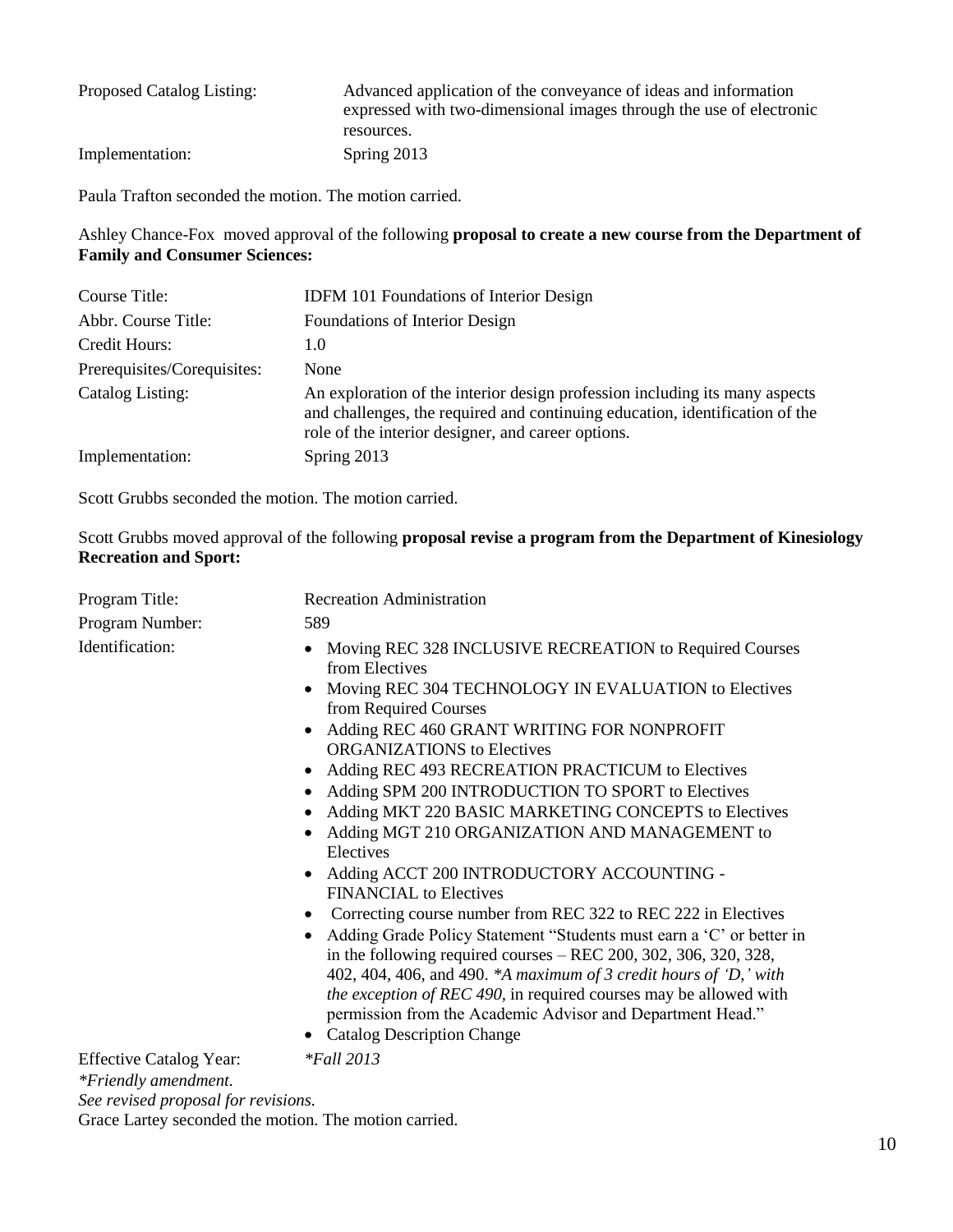| Proposed Catalog Listing: | Advanced application of the conveyance of ideas and information<br>expressed with two-dimensional images through the use of electronic<br>resources. |
|---------------------------|------------------------------------------------------------------------------------------------------------------------------------------------------|
| Implementation:           | Spring 2013                                                                                                                                          |

Paula Trafton seconded the motion. The motion carried.

Ashley Chance-Fox moved approval of the following **proposal to create a new course from the Department of Family and Consumer Sciences:**

| Course Title:               | <b>IDFM 101 Foundations of Interior Design</b>                                                                                                                                                                    |
|-----------------------------|-------------------------------------------------------------------------------------------------------------------------------------------------------------------------------------------------------------------|
| Abbr. Course Title:         | Foundations of Interior Design                                                                                                                                                                                    |
| Credit Hours:               | 1.0                                                                                                                                                                                                               |
| Prerequisites/Corequisites: | None                                                                                                                                                                                                              |
| Catalog Listing:            | An exploration of the interior design profession including its many aspects<br>and challenges, the required and continuing education, identification of the<br>role of the interior designer, and career options. |
| Implementation:             | Spring 2013                                                                                                                                                                                                       |

Scott Grubbs seconded the motion. The motion carried.

Scott Grubbs moved approval of the following **proposal revise a program from the Department of Kinesiology Recreation and Sport:**

| Program Title:                                         | <b>Recreation Administration</b>                                                                                                                                                                                                                                                                                                                                                                                                                                                                                                                                                                                                                                                                                                                                                                                                                                                                                                                                                                                               |
|--------------------------------------------------------|--------------------------------------------------------------------------------------------------------------------------------------------------------------------------------------------------------------------------------------------------------------------------------------------------------------------------------------------------------------------------------------------------------------------------------------------------------------------------------------------------------------------------------------------------------------------------------------------------------------------------------------------------------------------------------------------------------------------------------------------------------------------------------------------------------------------------------------------------------------------------------------------------------------------------------------------------------------------------------------------------------------------------------|
| Program Number:                                        | 589                                                                                                                                                                                                                                                                                                                                                                                                                                                                                                                                                                                                                                                                                                                                                                                                                                                                                                                                                                                                                            |
| Identification:                                        | Moving REC 328 INCLUSIVE RECREATION to Required Courses<br>from Electives<br>Moving REC 304 TECHNOLOGY IN EVALUATION to Electives<br>from Required Courses<br>Adding REC 460 GRANT WRITING FOR NONPROFIT<br><b>ORGANIZATIONS</b> to Electives<br>Adding REC 493 RECREATION PRACTICUM to Electives<br>Adding SPM 200 INTRODUCTION TO SPORT to Electives<br>Adding MKT 220 BASIC MARKETING CONCEPTS to Electives<br>Adding MGT 210 ORGANIZATION AND MANAGEMENT to<br>Electives<br>Adding ACCT 200 INTRODUCTORY ACCOUNTING -<br><b>FINANCIAL</b> to Electives<br>Correcting course number from REC 322 to REC 222 in Electives<br>Adding Grade Policy Statement "Students must earn a 'C' or better in<br>$\bullet$<br>in the following required courses $-$ REC 200, 302, 306, 320, 328,<br>402, 404, 406, and 490. *A maximum of 3 credit hours of 'D,' with<br>the exception of REC 490, in required courses may be allowed with<br>permission from the Academic Advisor and Department Head."<br>• Catalog Description Change |
| <b>Effective Catalog Year:</b><br>*Friendly amendment. | $*$ Fall 2013                                                                                                                                                                                                                                                                                                                                                                                                                                                                                                                                                                                                                                                                                                                                                                                                                                                                                                                                                                                                                  |

*See revised proposal for revisions.* Grace Lartey seconded the motion. The motion carried.